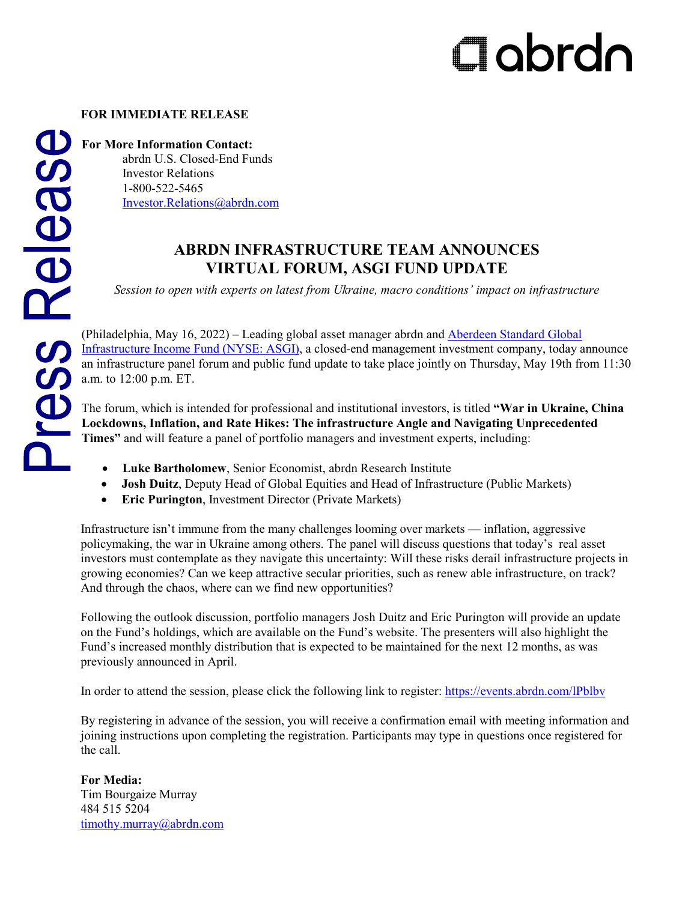# Clabrdn

# **FOR IMMEDIATE RELEASE**

# abrdn U.S. Closed-End Funds

Investor Relations 1-800-522-5465 [Investor.Relations@abrdn.com](mailto:Investor.Relations@abrdn.com)

# **ABRDN INFRASTRUCTURE TEAM ANNOUNCES VIRTUAL FORUM, ASGI FUND UPDATE**

*Session to open with experts on latest from Ukraine, macro conditions' impact on infrastructure*

(Philadelphia, May 16, 2022) – Leading global asset manager abrdn and [Aberdeen Standard Global](http://www.aberdeenasgi.com/)  [Infrastructure Income Fund \(NYSE: ASGI\),](http://www.aberdeenasgi.com/) a closed-end management investment company, today announce an infrastructure panel forum and public fund update to take place jointly on Thursday, May 19th from 11:30 a.m. to 12:00 p.m. ET.

The forum, which is intended for professional and institutional investors, is titled **"War in Ukraine, China Lockdowns, Inflation, and Rate Hikes: The infrastructure Angle and Navigating Unprecedented Times"** and will feature a panel of portfolio managers and investment experts, including:

- **Luke Bartholomew**, Senior Economist, abrdn Research Institute
- **Josh Duitz**, Deputy Head of Global Equities and Head of Infrastructure (Public Markets)
- **Eric Purington**, Investment Director (Private Markets)

Infrastructure isn't immune from the many challenges looming over markets — inflation, aggressive policymaking, the war in Ukraine among others. The panel will discuss questions that today's real asset investors must contemplate as they navigate this uncertainty: Will these risks derail infrastructure projects in growing economies? Can we keep attractive secular priorities, such as renew able infrastructure, on track? And through the chaos, where can we find new opportunities?

Following the outlook discussion, portfolio managers Josh Duitz and Eric Purington will provide an update on the Fund's holdings, which are available on the Fund's website. The presenters will also highlight the Fund's increased monthly distribution that is expected to be maintained for the next 12 months, as was previously announced in April.

In order to attend the session, please click the following link to register:<https://events.abrdn.com/lPblbv>

By registering in advance of the session, you will receive a confirmation email with meeting information and joining instructions upon completing the registration. Participants may type in questions once registered for the call.

**For Media:** Tim Bourgaize Murray 484 515 5204 [timothy.murray@abrdn.com](mailto:timothy.murray@abrdn.com)